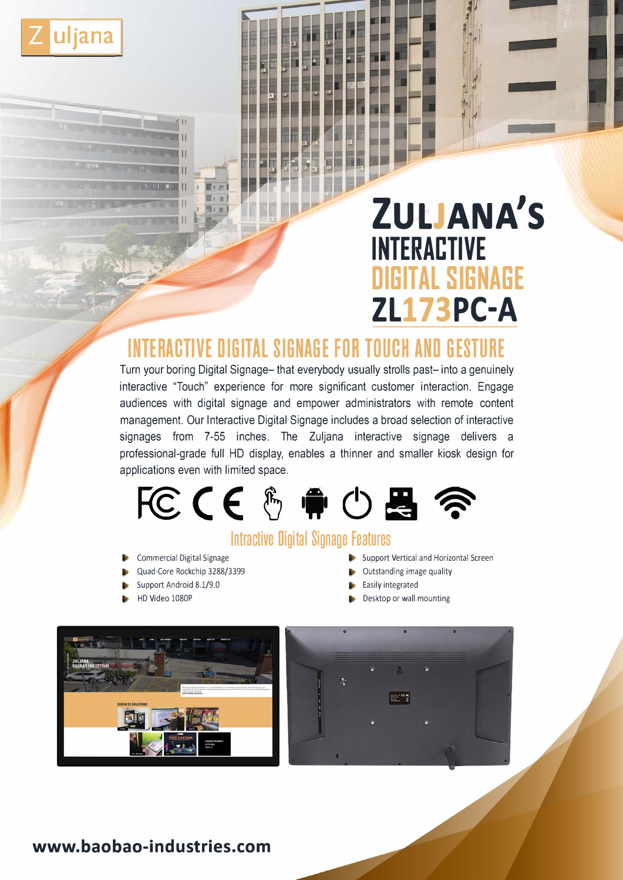

# **ZULJANA'S INTERACTIVE DIGITAL SIGNAGE ZL173PC-A**

# **INTERACTIVE DIGITAL SIGNAGE FOR TOUCH AND GESTURE**

Turn your boring Digital Signage- that everybody usually strolls past- into a genuinely interactive "Touch" experience for more significant customer interaction. Engage audiences with digital signage and empower administrators with remote content management. Our Interactive Digital Signage includes a broad selection of interactive signages from 7-55 inches. The Zuljana interactive signage delivers a professional-grade full HD display, enables a thinner and smaller kiosk design for applications even with limited space.



# **lntractive Digital Signage Features**

- Commercial Digital Signage
- Quad-Core Rockchip 3288/3399
- Support Android 8.1/9.0
- HD Video 1080P
- Support Vertical and Horizontal Screen
- Outstanding image quality
- Easily integrated
- Desktop or wall mounting





## **www.baobao-industries.com**